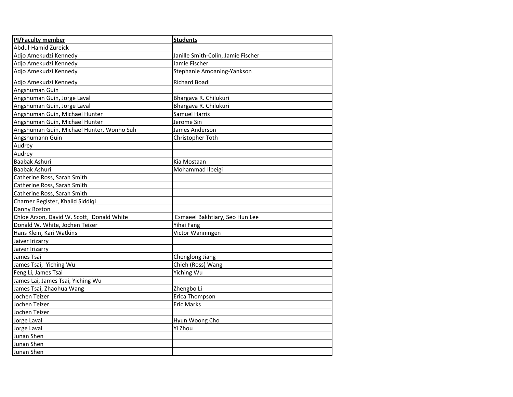| <b>PI/Faculty member</b>                  | <b>Students</b>                    |
|-------------------------------------------|------------------------------------|
| Abdul-Hamid Zureick                       |                                    |
| Adjo Amekudzi Kennedy                     | Janille Smith-Colin, Jamie Fischer |
| Adjo Amekudzi Kennedy                     | Jamie Fischer                      |
| Adjo Amekudzi Kennedy                     | Stephanie Amoaning-Yankson         |
| Adjo Amekudzi Kennedy                     | Richard Boadi                      |
| Angshuman Guin                            |                                    |
| Angshuman Guin, Jorge Laval               | Bhargava R. Chilukuri              |
| Angshuman Guin, Jorge Laval               | Bhargava R. Chilukuri              |
| Angshuman Guin, Michael Hunter            | <b>Samuel Harris</b>               |
| Angshuman Guin, Michael Hunter            | Jerome Sin                         |
| Angshuman Guin, Michael Hunter, Wonho Suh | James Anderson                     |
| Angshumann Guin                           | Christopher Toth                   |
| Audrey                                    |                                    |
| Audrey                                    |                                    |
| Baabak Ashuri                             | Kia Mostaan                        |
| Baabak Ashuri                             | Mohammad Ilbeigi                   |
| Catherine Ross, Sarah Smith               |                                    |
| Catherine Ross, Sarah Smith               |                                    |
| Catherine Ross, Sarah Smith               |                                    |
| Charner Register, Khalid Siddiqi          |                                    |
| Danny Boston                              |                                    |
| Chloe Arson, David W. Scott, Donald White | Esmaeel Bakhtiary, Seo Hun Lee     |
| Donald W. White, Jochen Teizer            | Yihai Fang                         |
| Hans Klein, Kari Watkins                  | Victor Wanningen                   |
| Jaiver Irizarry                           |                                    |
| Jaiver Irizarry                           |                                    |
| James Tsai                                | Chenglong Jiang                    |
| James Tsai, Yiching Wu                    | Chieh (Ross) Wang                  |
| Feng Li, James Tsai                       | Yiching Wu                         |
| James Lai, James Tsai, Yiching Wu         |                                    |
| James Tsai, Zhaohua Wang                  | Zhengbo Li                         |
| Jochen Teizer                             | Erica Thompson                     |
| Jochen Teizer                             | Eric Marks                         |
| Jochen Teizer                             |                                    |
| Jorge Laval                               | Hyun Woong Cho                     |
| Jorge Laval                               | Yi Zhou                            |
| Junan Shen                                |                                    |
| Junan Shen                                |                                    |
| Junan Shen                                |                                    |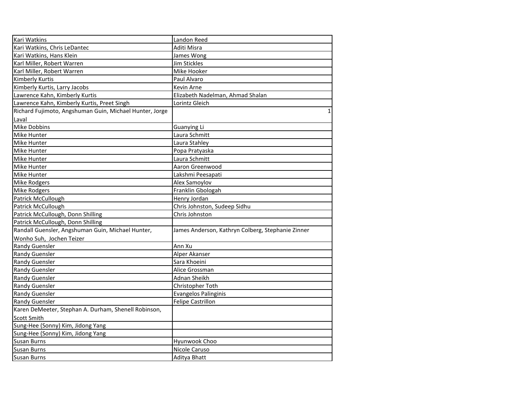| Kari Watkins                                            | Landon Reed                                       |
|---------------------------------------------------------|---------------------------------------------------|
| Kari Watkins, Chris LeDantec                            | Aditi Misra                                       |
| Kari Watkins, Hans Klein                                | James Wong                                        |
| Karl Miller, Robert Warren                              | Jim Stickles                                      |
| Karl Miller, Robert Warren                              | Mike Hooker                                       |
| <b>Kimberly Kurtis</b>                                  | Paul Alvaro                                       |
| Kimberly Kurtis, Larry Jacobs                           | Kevin Arne                                        |
| Lawrence Kahn, Kimberly Kurtis                          | Elizabeth Nadelman, Ahmad Shalan                  |
| Lawrence Kahn, Kimberly Kurtis, Preet Singh             | Lorintz Gleich                                    |
| Richard Fujimoto, Angshuman Guin, Michael Hunter, Jorge | $\mathbf{1}$                                      |
| Laval                                                   |                                                   |
| Mike Dobbins                                            | <b>Guanying Li</b>                                |
| Mike Hunter                                             | Laura Schmitt                                     |
| Mike Hunter                                             | Laura Stahley                                     |
| Mike Hunter                                             | Popa Pratyaska                                    |
| Mike Hunter                                             | Laura Schmitt                                     |
| Mike Hunter                                             | Aaron Greenwood                                   |
| Mike Hunter                                             | Lakshmi Peesapati                                 |
| Mike Rodgers                                            | Alex Samoylov                                     |
| Mike Rodgers                                            | Franklin Gbologah                                 |
| Patrick McCullough                                      | Henry Jordan                                      |
| Patrick McCullough                                      | Chris Johnston, Sudeep Sidhu                      |
| Patrick McCullough, Donn Shilling                       | Chris Johnston                                    |
| Patrick McCullough, Donn Shilling                       |                                                   |
| Randall Guensler, Angshuman Guin, Michael Hunter,       | James Anderson, Kathryn Colberg, Stephanie Zinner |
| Wonho Suh, Jochen Teizer                                |                                                   |
| <b>Randy Guensler</b>                                   | Ann Xu                                            |
| <b>Randy Guensler</b>                                   | Alper Akanser                                     |
| <b>Randy Guensler</b>                                   | Sara Khoeini                                      |
| <b>Randy Guensler</b>                                   | Alice Grossman                                    |
| <b>Randy Guensler</b>                                   | Adnan Sheikh                                      |
| <b>Randy Guensler</b>                                   | Christopher Toth                                  |
| <b>Randy Guensler</b>                                   | <b>Evangelos Palinginis</b>                       |
| <b>Randy Guensler</b>                                   | <b>Felipe Castrillon</b>                          |
| Karen DeMeeter, Stephan A. Durham, Shenell Robinson,    |                                                   |
| <b>Scott Smith</b>                                      |                                                   |
| Sung-Hee (Sonny) Kim, Jidong Yang                       |                                                   |
| Sung-Hee (Sonny) Kim, Jidong Yang                       |                                                   |
| <b>Susan Burns</b>                                      | Hyunwook Choo                                     |
| <b>Susan Burns</b>                                      | Nicole Caruso                                     |
| <b>Susan Burns</b>                                      | Aditya Bhatt                                      |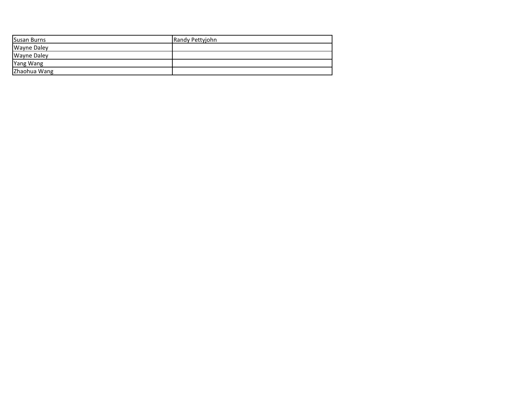| Susan Burns        | Randy Pettyjohn |
|--------------------|-----------------|
| <b>Wayne Daley</b> |                 |
| <b>Wayne Daley</b> |                 |
| <b>Yang Wang</b>   |                 |
| Zhaohua Wang       |                 |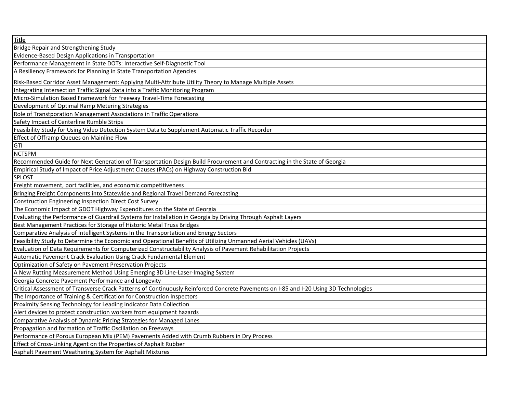| <b>Title</b>                                                                                                                          |
|---------------------------------------------------------------------------------------------------------------------------------------|
| Bridge Repair and Strengthening Study                                                                                                 |
| Evidence-Based Design Applications in Transportation                                                                                  |
| Performance Management in State DOTs: Interactive Self-Diagnostic Tool                                                                |
| A Resiliency Framework for Planning in State Transportation Agencies                                                                  |
| Risk-Based Corridor Asset Management: Applying Multi-Attribute Utility Theory to Manage Multiple Assets                               |
| Integrating Intersection Traffic Signal Data into a Traffic Monitoring Program                                                        |
| Micro-Simulation Based Framework for Freeway Travel-Time Forecasting                                                                  |
| Development of Optimal Ramp Metering Strategies                                                                                       |
| Role of Transtporation Management Associations in Traffic Operations                                                                  |
| Safety Impact of Centerline Rumble Strips                                                                                             |
| Feasibility Study for Using Video Detection System Data to Supplement Automatic Traffic Recorder                                      |
| Effect of Offramp Queues on Mainline Flow                                                                                             |
| <b>GTI</b>                                                                                                                            |
| <b>NCTSPM</b>                                                                                                                         |
| Recommended Guide for Next Generation of Transportation Design Build Procurement and Contracting in the State of Georgia              |
| Empirical Study of Impact of Price Adjustment Clauses (PACs) on Highway Construction Bid                                              |
| <b>SPLOST</b>                                                                                                                         |
| Freight movement, port facilities, and economic competitiveness                                                                       |
| Bringing Freight Components into Statewide and Regional Travel Demand Forecasting                                                     |
| Construction Engineering Inspection Direct Cost Survey                                                                                |
| The Economic Impact of GDOT Highway Expenditures on the State of Georgia                                                              |
| Evaluating the Performance of Guardrail Systems for Installation in Georgia by Driving Through Asphalt Layers                         |
| Best Management Practices for Storage of Historic Metal Truss Bridges                                                                 |
| Comparative Analysis of Intelligent Systems In the Transportation and Energy Sectors                                                  |
| Feasibility Study to Determine the Economic and Operational Benefits of Utilizing Unmanned Aerial Vehicles (UAVs)                     |
| Evaluation of Data Requirements for Computerized Constructability Analysis of Pavement Rehabilitation Projects                        |
| Automatic Pavement Crack Evaluation Using Crack Fundamental Element                                                                   |
| Optimization of Safety on Pavement Preservation Projects                                                                              |
| A New Rutting Measurement Method Using Emerging 3D Line-Laser-Imaging System                                                          |
| Georgia Concrete Pavement Performance and Longevity                                                                                   |
| Critical Assessment of Transverse Crack Patterns of Continuously Reinforced Concrete Pavements on I-85 and I-20 Using 3D Technologies |
| The Importance of Training & Certification for Construction Inspectors                                                                |
| Proximity Sensing Technology for Leading Indicator Data Collection                                                                    |
| Alert devices to protect construction workers from equipment hazards                                                                  |
| Comparative Analysis of Dynamic Pricing Strategies for Managed Lanes                                                                  |
| Propagation and formation of Traffic Oscillation on Freeways                                                                          |
| Performance of Porous European Mix (PEM) Pavements Added with Crumb Rubbers in Dry Process                                            |
| Effect of Cross-Linking Agent on the Properties of Asphalt Rubber                                                                     |
| Asphalt Pavement Weathering System for Asphalt Mixtures                                                                               |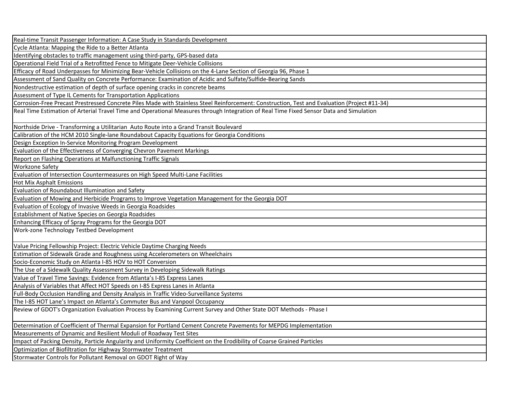Real-time Transit Passenger Information: A Case Study in Standards Development

Cycle Atlanta: Mapping the Ride to a Better Atlanta

Identifying obstacles to traffic management using third-party, GPS-based data

Operational Field Trial of a Retrofitted Fence to Mitigate Deer-Vehicle Collisions

Efficacy of Road Underpasses for Minimizing Bear-Vehicle Collisions on the 4-Lane Section of Georgia 96, Phase 1

Assessment of Sand Quality on Concrete Performance: Examination of Acidic and Sulfate/Sulfide-Bearing Sands

Nondestructive estimation of depth of surface opening cracks in concrete beams

Assessment of Type IL Cements for Transportation Applications

Corrosion-Free Precast Prestressed Concrete Piles Made with Stainless Steel Reinforcement: Construction, Test and Evaluation (Project #11-34)

Real Time Estimation of Arterial Travel Time and Operational Measures through Integration of Real Time Fixed Sensor Data and Simulation

Northside Drive - Transforming a Utilitarian Auto Route into a Grand Transit Boulevard

Calibration of the HCM 2010 Single-lane Roundabout Capacity Equations for Georgia Conditions

Design Exception In-Service Monitoring Program Development

Evaluation of the Effectiveness of Converging Chevron Pavement Markings

Report on Flashing Operations at Malfunctioning Traffic Signals

Workzone Safety

Evaluation of Intersection Countermeasures on High Speed Multi-Lane Facilities

Hot Mix Asphalt Emissions

Evaluation of Roundabout Illumination and Safety

Evaluation of Mowing and Herbicide Programs to Improve Vegetation Management for the Georgia DOT

Evaluation of Ecology of Invasive Weeds in Georgia Roadsides

Establishment of Native Species on Georgia Roadsides

Enhancing Efficacy of Spray Programs for the Georgia DOT

Work-zone Technology Testbed Development

Value Pricing Fellowship Project: Electric Vehicle Daytime Charging Needs

Estimation of Sidewalk Grade and Roughness using Accelerometers on Wheelchairs

Socio-Economic Study on Atlanta I-85 HOV to HOT Conversion

The Use of a Sidewalk Quality Assessment Survey in Developing Sidewalk Ratings

Value of Travel Time Savings: Evidence from Atlanta's I-85 Express Lanes

Analysis of Variables that Affect HOT Speeds on I-85 Express Lanes in Atlanta

Full-Body Occlusion Handling and Density Analysis in Traffic Video-Surveillance Systems

The I-85 HOT Lane's Impact on Atlanta's Commuter Bus and Vanpool Occupancy

Review of GDOT's Organization Evaluation Process by Examining Current Survey and Other State DOT Methods - Phase I

Determination of Coefficient of Thermal Expansion for Portland Cement Concrete Pavements for MEPDG Implementation

Measurements of Dynamic and Resilient Moduli of Roadway Test Sites

Impact of Packing Density, Particle Angularity and Uniformity Coefficient on the Erodibility of Coarse Grained Particles

Optimization of Biofiltration for Highway Stormwater Treatment

Stormwater Controls for Pollutant Removal on GDOT Right of Way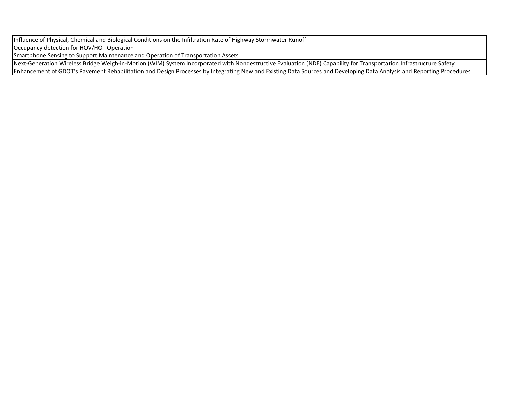Influence of Physical, Chemical and Biological Conditions on the Infiltration Rate of Highway Stormwater Runoff

Occupancy detection for HOV/HOT Operation

Smartphone Sensing to Support Maintenance and Operation of Transportation Assets

Next-Generation Wireless Bridge Weigh-in-Motion (WIM) System Incorporated with Nondestructive Evaluation (NDE) Capability for Transportation Infrastructure Safety

Enhancement of GDOT's Pavement Rehabilitation and Design Processes by Integrating New and Existing Data Sources and Developing Data Analysis and Reporting Procedures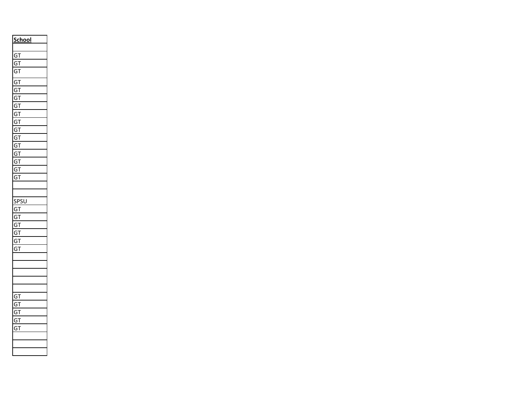| <b>School</b>                      |
|------------------------------------|
| j<br>$\mathbf \zeta$<br>Ī          |
|                                    |
| $\mathbf \zeta$<br>j<br>I          |
| ì<br>Ī<br>Ó                        |
| (<br>ì<br>I                        |
| $\mathbf \zeta$<br>ì<br>I          |
| Ó<br>I<br>j                        |
| $\overline{\phantom{a}}$<br>ì<br>Ī |
| $\overline{\phantom{a}}$<br>Ī<br>ì |
| $\overline{\phantom{a}}$<br>j<br>Ī |
| j<br>$\overline{\phantom{a}}$<br>Ī |
| $\mathbf$<br>j<br>Ī                |
| (<br>I<br>ì                        |
| (<br>Ī<br>ì                        |
| (<br>ì<br>Ī                        |
| (<br>ì<br>Ī                        |
| ٬<br>ì<br>Ī                        |
|                                    |
|                                    |
| .<br>ริโ<br>ŗ<br>ŏ<br>J<br>I       |
| $\mathbf \zeta$<br>ì<br>Ī          |
| j<br>Ó<br>I                        |
| ì<br>I<br>(                        |
| (<br>ì<br>Ī                        |
| $\overline{\phantom{a}}$<br>ì<br>I |
| (<br>ì<br>I                        |
|                                    |
|                                    |
|                                    |
|                                    |
|                                    |
| (<br>ì<br>I                        |
| (<br>ì<br>Ī                        |
| j<br>Ó<br>I                        |
| (<br>j<br>I                        |
| (<br>ì<br>I                        |
|                                    |
|                                    |
|                                    |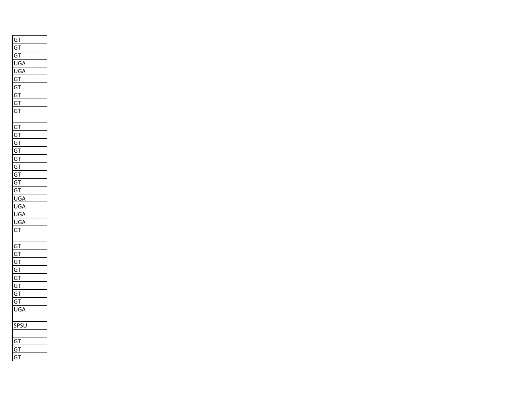| $G$ T                        |
|------------------------------|
| <u>G</u><br>Ţ                |
| (<br>J.<br>I                 |
| J<br>ι<br>à                  |
| ι<br>JG,                     |
| GT                           |
| G<br>Ţ                       |
| O<br>T<br>j                  |
| C<br>ì<br>Ţ                  |
| G<br>T                       |
|                              |
| G<br>T                       |
| C<br>ĭ<br>Ţ                  |
| C<br>T<br>j                  |
| G<br>Ţ<br>j                  |
| G.<br>T                      |
| G<br>Ţ                       |
| c<br>$\mathbf{r}$            |
| C<br>ĵТ                      |
| GT                           |
| l<br>JG                      |
| UG                           |
| l<br>JC<br>j                 |
| U<br>j,                      |
| G<br>T                       |
|                              |
| GT                           |
| G<br>T                       |
| C<br>Ţ<br>j                  |
| Ţ<br>G<br>j                  |
| G<br>Ţ                       |
| T<br>C<br>j                  |
| G<br>T                       |
| O<br>Ĵ<br>I                  |
| UGA                          |
| .<br>Sl<br>X<br>$\mathbf{I}$ |
| J                            |
|                              |
| G<br>Ţ                       |
| $\ddot{\varsigma}$<br>I<br>j |
| C<br>j<br>T                  |